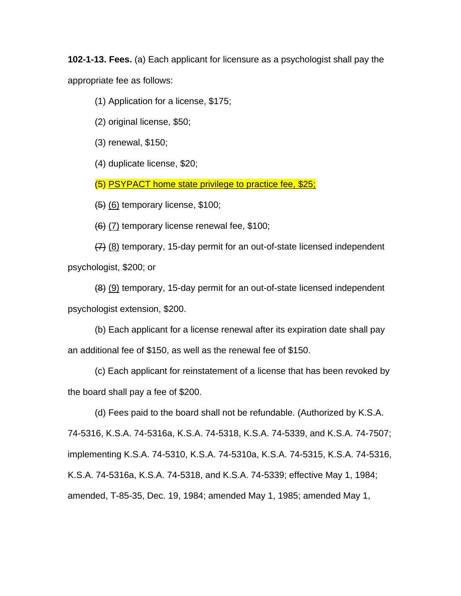**102-1-13. Fees.** (a) Each applicant for licensure as a psychologist shall pay the appropriate fee as follows:

(1) Application for a license, \$175;

(2) original license, \$50;

(3) renewal, \$150;

(4) duplicate license, \$20;

(5) PSYPACT home state privilege to practice fee, \$25;

 $(5)$  (6) temporary license, \$100;

(6) (7) temporary license renewal fee, \$100;

(7) (8) temporary, 15-day permit for an out-of-state licensed independent psychologist, \$200; or

(8) (9) temporary, 15-day permit for an out-of-state licensed independent psychologist extension, \$200.

(b) Each applicant for a license renewal after its expiration date shall pay an additional fee of \$150, as well as the renewal fee of \$150.

(c) Each applicant for reinstatement of a license that has been revoked by the board shall pay a fee of \$200.

(d) Fees paid to the board shall not be refundable. (Authorized by K.S.A. 74-5316, K.S.A. 74-5316a, K.S.A. 74-5318, K.S.A. 74-5339, and K.S.A. 74-7507; implementing K.S.A. 74-5310, K.S.A. 74-5310a, K.S.A. 74-5315, K.S.A. 74-5316, K.S.A. 74-5316a, K.S.A. 74-5318, and K.S.A. 74-5339; effective May 1, 1984; amended, T-85-35, Dec. 19, 1984; amended May 1, 1985; amended May 1,